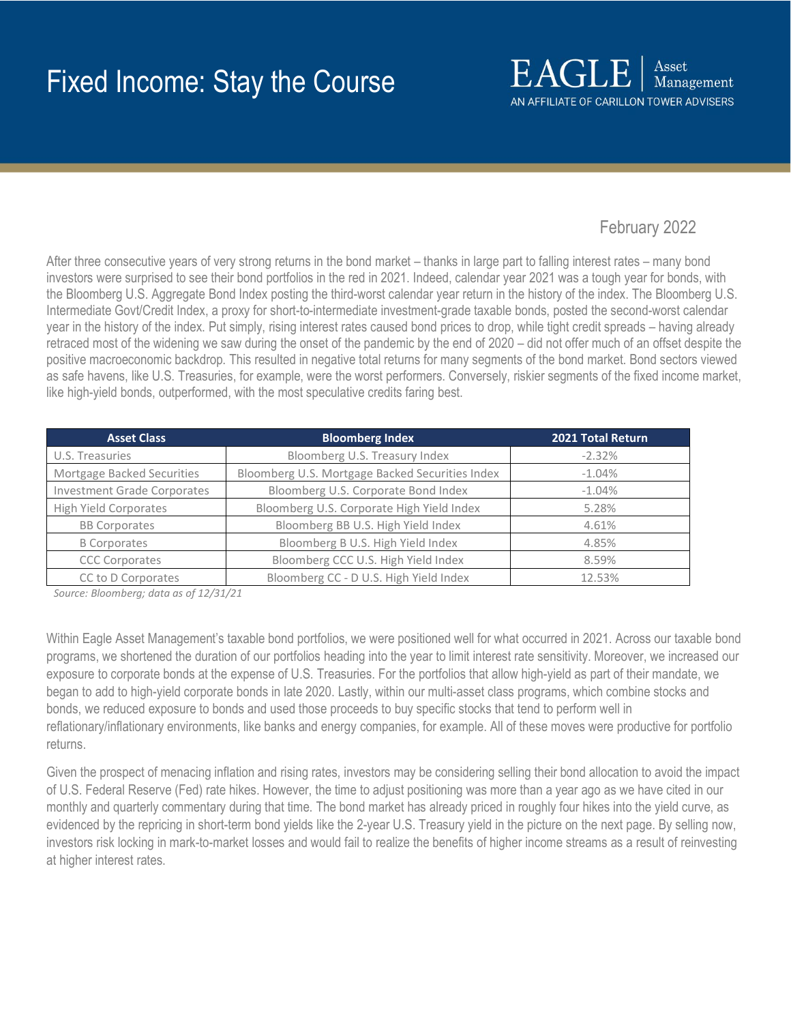# February 2022

After three consecutive years of very strong returns in the bond market – thanks in large part to falling interest rates – many bond investors were surprised to see their bond portfolios in the red in 2021. Indeed, calendar year 2021 was a tough year for bonds, with the Bloomberg U.S. Aggregate Bond Index posting the third-worst calendar year return in the history of the index. The Bloomberg U.S. Intermediate Govt/Credit Index, a proxy for short-to-intermediate investment-grade taxable bonds, posted the second-worst calendar year in the history of the index. Put simply, rising interest rates caused bond prices to drop, while tight credit spreads – having already retraced most of the widening we saw during the onset of the pandemic by the end of 2020 – did not offer much of an offset despite the positive macroeconomic backdrop. This resulted in negative total returns for many segments of the bond market. Bond sectors viewed as safe havens, like U.S. Treasuries, for example, were the worst performers. Conversely, riskier segments of the fixed income market, like high-yield bonds, outperformed, with the most speculative credits faring best.

| <b>Asset Class</b>                 | <b>Bloomberg Index</b>                          | 2021 Total Return |
|------------------------------------|-------------------------------------------------|-------------------|
| U.S. Treasuries                    | Bloomberg U.S. Treasury Index                   | $-2.32%$          |
| Mortgage Backed Securities         | Bloomberg U.S. Mortgage Backed Securities Index | $-1.04%$          |
| <b>Investment Grade Corporates</b> | Bloomberg U.S. Corporate Bond Index             | $-1.04\%$         |
| <b>High Yield Corporates</b>       | Bloomberg U.S. Corporate High Yield Index       | 5.28%             |
| <b>BB Corporates</b>               | Bloomberg BB U.S. High Yield Index              | 4.61%             |
| <b>B</b> Corporates                | Bloomberg B U.S. High Yield Index               | 4.85%             |
| <b>CCC Corporates</b>              | Bloomberg CCC U.S. High Yield Index             | 8.59%             |
| CC to D Corporates                 | Bloomberg CC - D U.S. High Yield Index          | 12.53%            |

*Source: Bloomberg; data as of 12/31/21*

Within Eagle Asset Management's taxable bond portfolios, we were positioned well for what occurred in 2021. Across our taxable bond programs, we shortened the duration of our portfolios heading into the year to limit interest rate sensitivity. Moreover, we increased our exposure to corporate bonds at the expense of U.S. Treasuries. For the portfolios that allow high-yield as part of their mandate, we began to add to high-yield corporate bonds in late 2020. Lastly, within our multi-asset class programs, which combine stocks and bonds, we reduced exposure to bonds and used those proceeds to buy specific stocks that tend to perform well in reflationary/inflationary environments, like banks and energy companies, for example. All of these moves were productive for portfolio returns.

Given the prospect of menacing inflation and rising rates, investors may be considering selling their bond allocation to avoid the impact of U.S. Federal Reserve (Fed) rate hikes. However, the time to adjust positioning was more than a year ago as we have cited in our monthly and quarterly commentary during that time. The bond market has already priced in roughly four hikes into the yield curve, as evidenced by the repricing in short-term bond yields like the 2-year U.S. Treasury yield in the picture on the next page. By selling now, investors risk locking in mark-to-market losses and would fail to realize the benefits of higher income streams as a result of reinvesting at higher interest rates.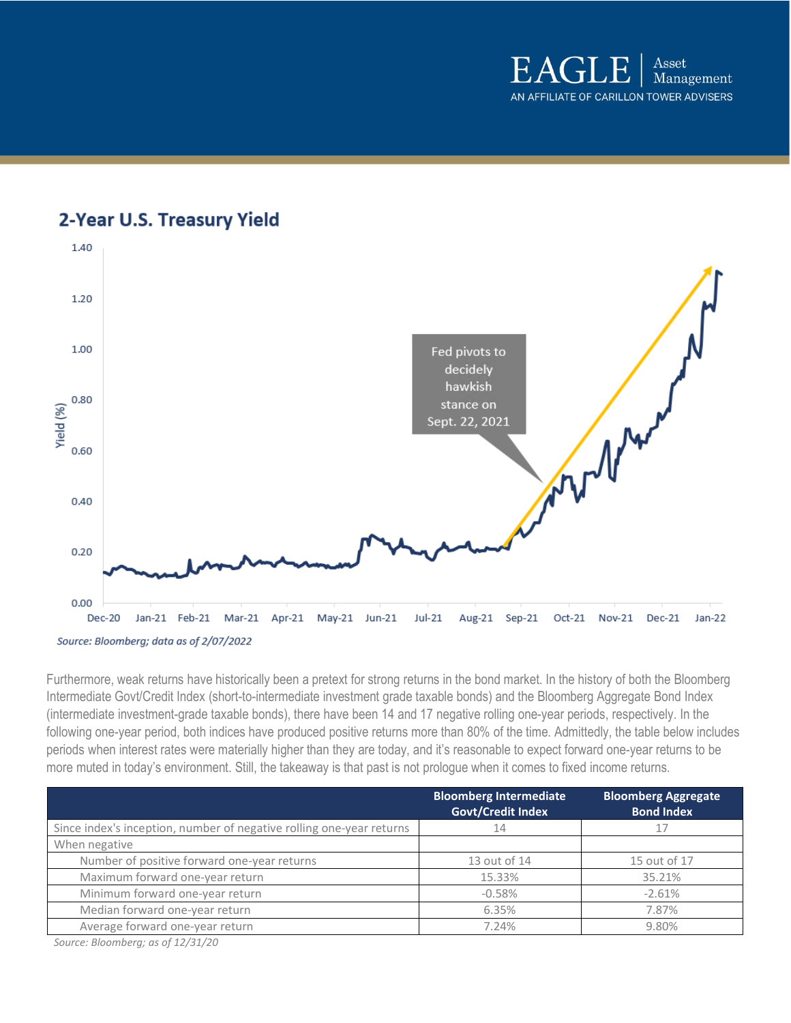





Furthermore, weak returns have historically been a pretext for strong returns in the bond market. In the history of both the Bloomberg Intermediate Govt/Credit Index (short-to-intermediate investment grade taxable bonds) and the Bloomberg Aggregate Bond Index (intermediate investment-grade taxable bonds), there have been 14 and 17 negative rolling one-year periods, respectively. In the following one-year period, both indices have produced positive returns more than 80% of the time. Admittedly, the table below includes periods when interest rates were materially higher than they are today, and it's reasonable to expect forward one-year returns to be more muted in today's environment. Still, the takeaway is that past is not prologue when it comes to fixed income returns.

|                                                                      | <b>Bloomberg Intermediate</b><br><b>Govt/Credit Index</b> | <b>Bloomberg Aggregate</b><br><b>Bond Index</b> |
|----------------------------------------------------------------------|-----------------------------------------------------------|-------------------------------------------------|
| Since index's inception, number of negative rolling one-year returns | 14                                                        | 17                                              |
| When negative                                                        |                                                           |                                                 |
| Number of positive forward one-year returns                          | 13 out of 14                                              | 15 out of 17                                    |
| Maximum forward one-year return                                      | 15.33%                                                    | 35.21%                                          |
| Minimum forward one-year return                                      | $-0.58%$                                                  | $-2.61%$                                        |
| Median forward one-year return                                       | 6.35%                                                     | 7.87%                                           |
| Average forward one-year return                                      | 7.24%                                                     | 9.80%                                           |

*Source: Bloomberg; as of 12/31/20*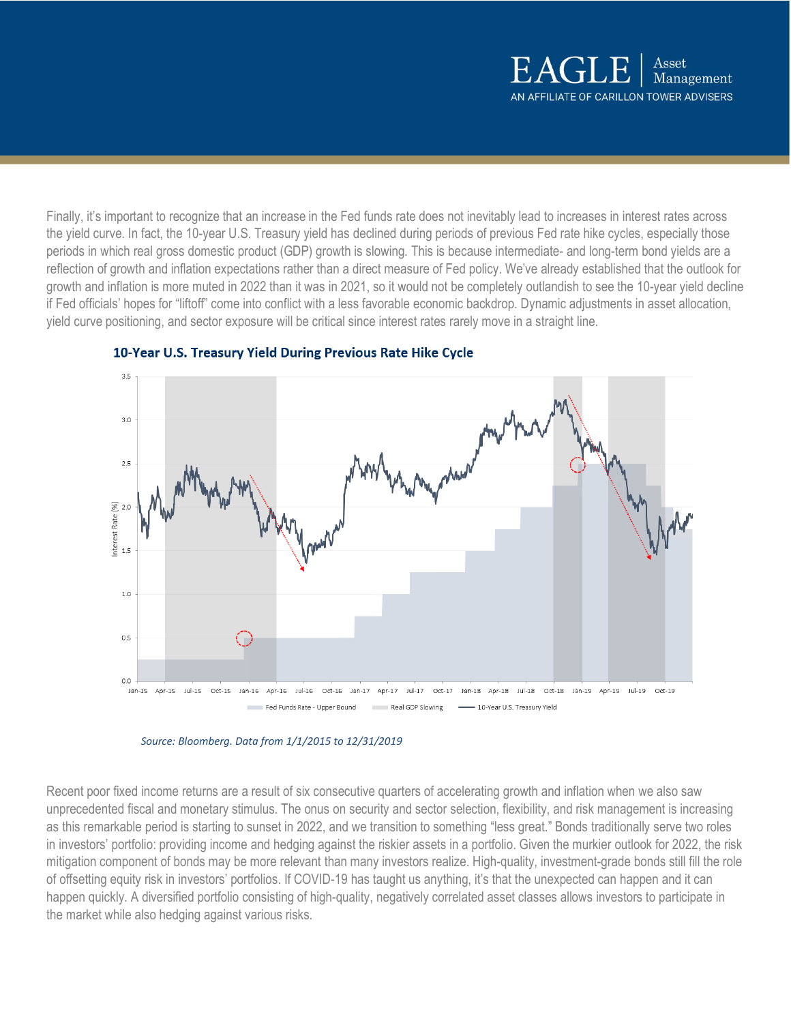Finally, it's important to recognize that an increase in the Fed funds rate does not inevitably lead to increases in interest rates across the yield curve. In fact, the 10-year U.S. Treasury yield has declined during periods of previous Fed rate hike cycles, especially those periods in which real gross domestic product (GDP) growth is slowing. This is because intermediate- and long-term bond yields are a reflection of growth and inflation expectations rather than a direct measure of Fed policy. We've already established that the outlook for growth and inflation is more muted in 2022 than it was in 2021, so it would not be completely outlandish to see the 10-year yield decline if Fed officials' hopes for "liftoff" come into conflict with a less favorable economic backdrop. Dynamic adjustments in asset allocation, yield curve positioning, and sector exposure will be critical since interest rates rarely move in a straight line.



# 10-Year U.S. Treasury Yield During Previous Rate Hike Cycle

*Source: Bloomberg. Data from 1/1/2015 to 12/31/2019*

Recent poor fixed income returns are a result of six consecutive quarters of accelerating growth and inflation when we also saw unprecedented fiscal and monetary stimulus. The onus on security and sector selection, flexibility, and risk management is increasing as this remarkable period is starting to sunset in 2022, and we transition to something "less great." Bonds traditionally serve two roles in investors' portfolio: providing income and hedging against the riskier assets in a portfolio. Given the murkier outlook for 2022, the risk mitigation component of bonds may be more relevant than many investors realize. High-quality, investment-grade bonds still fill the role of offsetting equity risk in investors' portfolios. If COVID-19 has taught us anything, it's that the unexpected can happen and it can happen quickly. A diversified portfolio consisting of high-quality, negatively correlated asset classes allows investors to participate in the market while also hedging against various risks.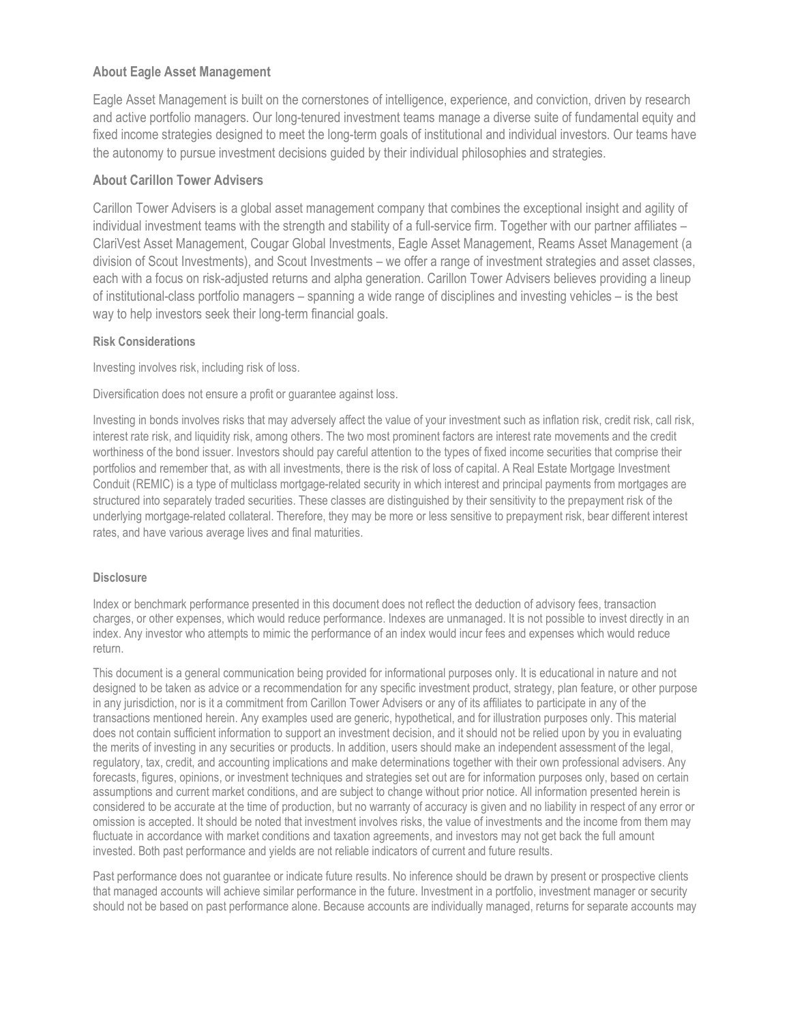# **About Eagle Asset Management**

Eagle Asset Management is built on the cornerstones of intelligence, experience, and conviction, driven by research and active portfolio managers. Our long-tenured investment teams manage a diverse suite of fundamental equity and fixed income strategies designed to meet the long-term goals of institutional and individual investors. Our teams have the autonomy to pursue investment decisions guided by their individual philosophies and strategies.

## **About Carillon Tower Advisers**

Carillon Tower Advisers is a global asset management company that combines the exceptional insight and agility of individual investment teams with the strength and stability of a full-service firm. Together with our partner affiliates – ClariVest Asset Management, Cougar Global Investments, Eagle Asset Management, Reams Asset Management (a division of Scout Investments), and Scout Investments – we offer a range of investment strategies and asset classes, each with a focus on risk-adjusted returns and alpha generation. Carillon Tower Advisers believes providing a lineup of institutional-class portfolio managers – spanning a wide range of disciplines and investing vehicles – is the best way to help investors seek their long-term financial goals.

### **Risk Considerations**

Investing involves risk, including risk of loss.

Diversification does not ensure a profit or guarantee against loss.

Investing in bonds involves risks that may adversely affect the value of your investment such as inflation risk, credit risk, call risk, interest rate risk, and liquidity risk, among others. The two most prominent factors are interest rate movements and the credit worthiness of the bond issuer. Investors should pay careful attention to the types of fixed income securities that comprise their portfolios and remember that, as with all investments, there is the risk of loss of capital. A Real Estate Mortgage Investment Conduit (REMIC) is a type of multiclass mortgage-related security in which interest and principal payments from mortgages are structured into separately traded securities. These classes are distinguished by their sensitivity to the prepayment risk of the underlying mortgage-related collateral. Therefore, they may be more or less sensitive to prepayment risk, bear different interest rates, and have various average lives and final maturities.

### **Disclosure**

Index or benchmark performance presented in this document does not reflect the deduction of advisory fees, transaction charges, or other expenses, which would reduce performance. Indexes are unmanaged. It is not possible to invest directly in an index. Any investor who attempts to mimic the performance of an index would incur fees and expenses which would reduce return.

This document is a general communication being provided for informational purposes only. It is educational in nature and not designed to be taken as advice or a recommendation for any specific investment product, strategy, plan feature, or other purpose in any jurisdiction, nor is it a commitment from Carillon Tower Advisers or any of its affiliates to participate in any of the transactions mentioned herein. Any examples used are generic, hypothetical, and for illustration purposes only. This material does not contain sufficient information to support an investment decision, and it should not be relied upon by you in evaluating the merits of investing in any securities or products. In addition, users should make an independent assessment of the legal, regulatory, tax, credit, and accounting implications and make determinations together with their own professional advisers. Any forecasts, figures, opinions, or investment techniques and strategies set out are for information purposes only, based on certain assumptions and current market conditions, and are subject to change without prior notice. All information presented herein is considered to be accurate at the time of production, but no warranty of accuracy is given and no liability in respect of any error or omission is accepted. It should be noted that investment involves risks, the value of investments and the income from them may fluctuate in accordance with market conditions and taxation agreements, and investors may not get back the full amount invested. Both past performance and yields are not reliable indicators of current and future results.

Past performance does not guarantee or indicate future results. No inference should be drawn by present or prospective clients that managed accounts will achieve similar performance in the future. Investment in a portfolio, investment manager or security should not be based on past performance alone. Because accounts are individually managed, returns for separate accounts may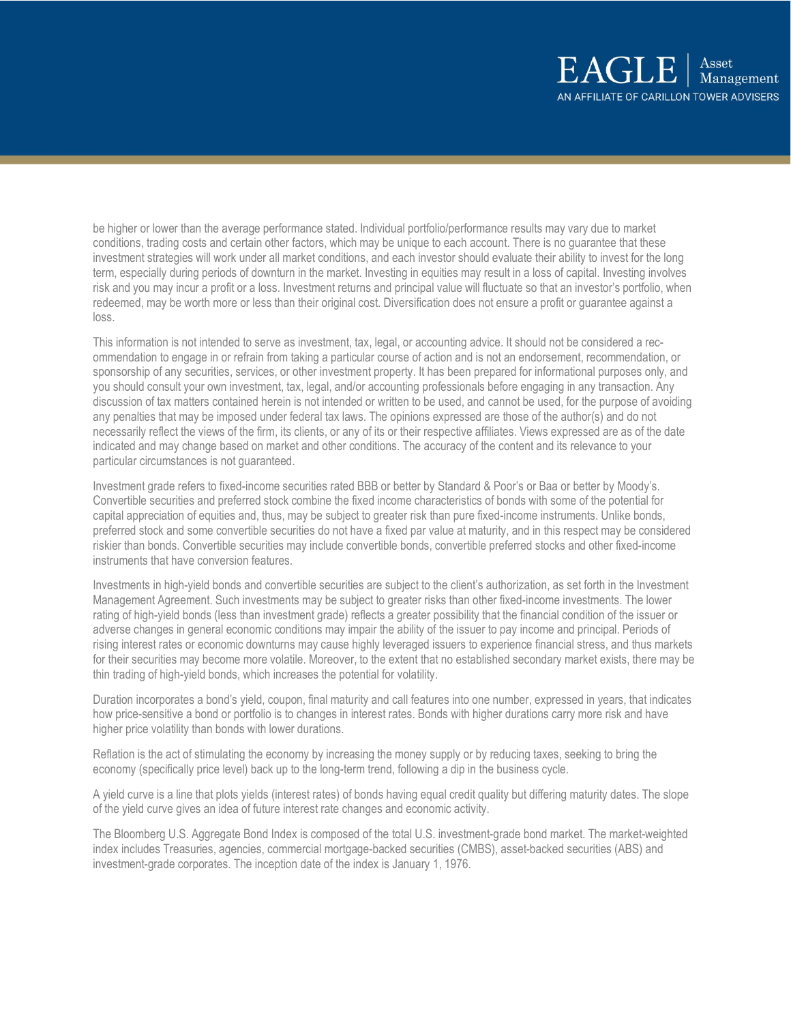be higher or lower than the average performance stated. Individual portfolio/performance results may vary due to market conditions, trading costs and certain other factors, which may be unique to each account. There is no guarantee that these investment strategies will work under all market conditions, and each investor should evaluate their ability to invest for the long term, especially during periods of downturn in the market. Investing in equities may result in a loss of capital. Investing involves risk and you may incur a profit or a loss. Investment returns and principal value will fluctuate so that an investor's portfolio, when redeemed, may be worth more or less than their original cost. Diversification does not ensure a profit or guarantee against a loss.

This information is not intended to serve as investment, tax, legal, or accounting advice. It should not be considered a recommendation to engage in or refrain from taking a particular course of action and is not an endorsement, recommendation, or sponsorship of any securities, services, or other investment property. It has been prepared for informational purposes only, and you should consult your own investment, tax, legal, and/or accounting professionals before engaging in any transaction. Any discussion of tax matters contained herein is not intended or written to be used, and cannot be used, for the purpose of avoiding any penalties that may be imposed under federal tax laws. The opinions expressed are those of the author(s) and do not necessarily reflect the views of the firm, its clients, or any of its or their respective affiliates. Views expressed are as of the date indicated and may change based on market and other conditions. The accuracy of the content and its relevance to your particular circumstances is not guaranteed.

Investment grade refers to fixed-income securities rated BBB or better by Standard & Poor's or Baa or better by Moody's. Convertible securities and preferred stock combine the fixed income characteristics of bonds with some of the potential for capital appreciation of equities and, thus, may be subject to greater risk than pure fixed-income instruments. Unlike bonds, preferred stock and some convertible securities do not have a fixed par value at maturity, and in this respect may be considered riskier than bonds. Convertible securities may include convertible bonds, convertible preferred stocks and other fixed-income instruments that have conversion features.

Investments in high-yield bonds and convertible securities are subject to the client's authorization, as set forth in the Investment Management Agreement. Such investments may be subject to greater risks than other fixed-income investments. The lower rating of high-yield bonds (less than investment grade) reflects a greater possibility that the financial condition of the issuer or adverse changes in general economic conditions may impair the ability of the issuer to pay income and principal. Periods of rising interest rates or economic downturns may cause highly leveraged issuers to experience financial stress, and thus markets for their securities may become more volatile. Moreover, to the extent that no established secondary market exists, there may be thin trading of high-yield bonds, which increases the potential for volatility.

Duration incorporates a bond's yield, coupon, final maturity and call features into one number, expressed in years, that indicates how price-sensitive a bond or portfolio is to changes in interest rates. Bonds with higher durations carry more risk and have higher price volatility than bonds with lower durations.

Reflation is the act of stimulating the economy by increasing the money supply or by reducing taxes, seeking to bring the economy (specifically price level) back up to the long-term trend, following a dip in the business cycle.

A yield curve is a line that plots yields (interest rates) of bonds having equal credit quality but differing maturity dates. The slope of the yield curve gives an idea of future interest rate changes and economic activity.

The Bloomberg U.S. Aggregate Bond Index is composed of the total U.S. investment-grade bond market. The market-weighted index includes Treasuries, agencies, commercial mortgage-backed securities (CMBS), asset-backed securities (ABS) and investment-grade corporates. The inception date of the index is January 1, 1976.